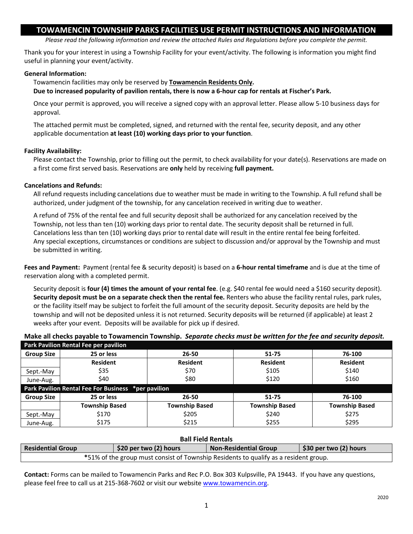# **TOWAMENCIN TOWNSHIP PARKS FACILITIES USE PERMIT INSTRUCTIONS AND INFORMATION**

*Please read the following information and review the attached Rules and Regulations before you complete the permit.*

Thank you for your interest in using a Township Facility for your event/activity. The following is information you might find useful in planning your event/activity.

## **General Information:**

Towamencin facilities may only be reserved by **Towamencin Residents Only.**

**Due to increased popularity of pavilion rentals, there is now a 6-hour cap for rentals at Fischer's Park.** 

Once your permit is approved, you will receive a signed copy with an approval letter. Please allow 5-10 business days for approval.

The attached permit must be completed, signed, and returned with the rental fee, security deposit, and any other applicable documentation **at least (10) working days prior to your function**.

## **Facility Availability:**

Please contact the Township, prior to filling out the permit, to check availability for your date(s). Reservations are made on a first come first served basis. Reservations are **only** held by receiving **full payment.**

## **Cancelations and Refunds:**

All refund requests including cancelations due to weather must be made in writing to the Township. A full refund shall be authorized, under judgment of the township, for any cancelation received in writing due to weather.

A refund of 75% of the rental fee and full security deposit shall be authorized for any cancelation received by the Township, not less than ten (10) working days prior to rental date. The security deposit shall be returned in full. Cancelations less than ten (10) working days prior to rental date will result in the entire rental fee being forfeited. Any special exceptions, circumstances or conditions are subject to discussion and/or approval by the Township and must be submitted in writing.

**Fees and Payment:** Payment (rental fee & security deposit) is based on a **6-hour rental timeframe** and is due at the time of reservation along with a completed permit.

Security deposit is **four (4) times the amount of your rental fee**. (e.g. \$40 rental fee would need a \$160 security deposit). **Security deposit must be on a separate check then the rental fee.** Renters who abuse the facility rental rules, park rules, or the facility itself may be subject to forfeit the full amount of the security deposit. Security deposits are held by the township and will not be deposited unless it is not returned. Security deposits will be returned (if applicable) at least 2 weeks after your event. Deposits will be available for pick up if desired.

**Make all checks payable to Towamencin Township.** *Separate checks must be written for the fee and security deposit.*

| Park Pavilion Rental Fee per pavilion               |                       |                       |                       |                       |  |  |
|-----------------------------------------------------|-----------------------|-----------------------|-----------------------|-----------------------|--|--|
| <b>Group Size</b>                                   | 25 or less            | 26-50                 | 51-75                 | 76-100                |  |  |
|                                                     | <b>Resident</b>       | <b>Resident</b>       | <b>Resident</b>       | <b>Resident</b>       |  |  |
| Sept.-May                                           | \$35                  | \$70                  | \$105                 | \$140                 |  |  |
| June-Aug.                                           | \$40                  | \$80                  | \$120                 | \$160                 |  |  |
| Park Pavilion Rental Fee For Business *per pavilion |                       |                       |                       |                       |  |  |
| <b>Group Size</b>                                   | 25 or less            | $26 - 50$             | $51 - 75$             | 76-100                |  |  |
|                                                     | <b>Township Based</b> | <b>Township Based</b> | <b>Township Based</b> | <b>Township Based</b> |  |  |
| Sept.-May                                           | \$170                 | \$205                 | \$240                 | \$275                 |  |  |
| June-Aug.                                           | \$175                 | \$215                 | \$255                 | \$295                 |  |  |

## **Ball Field Rentals Residential Group \$20 per two (2) hours Non-Residential Group \$30 per two (2) hours \***51% of the group must consist of Township Residents to qualify as a resident group.

**Contact:** Forms can be mailed to Towamencin Parks and Rec P.O. Box 303 Kulpsville, PA 19443. If you have any questions, please feel free to call us at 215-368-7602 or visit our website [www.towamencin.org.](http://www.towamencin.org/)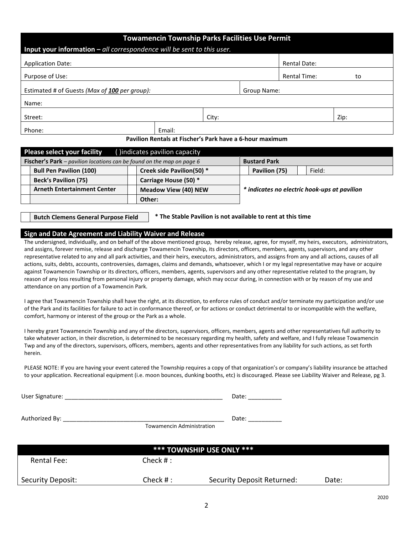| <b>Towamencin Township Parks Facilities Use Permit</b>                               |        |       |             |                     |      |  |  |
|--------------------------------------------------------------------------------------|--------|-------|-------------|---------------------|------|--|--|
| Input your information $-\alpha$ <i>ll correspondence will be sent to this user.</i> |        |       |             |                     |      |  |  |
| <b>Application Date:</b>                                                             |        |       |             | <b>Rental Date:</b> |      |  |  |
| Purpose of Use:                                                                      |        |       |             | <b>Rental Time:</b> | to   |  |  |
| Estimated # of Guests (Max of 100 per group):                                        |        |       | Group Name: |                     |      |  |  |
| Name:                                                                                |        |       |             |                     |      |  |  |
| Street:                                                                              |        | City: |             |                     | Zip: |  |  |
| Phone:                                                                               | Email: |       |             |                     |      |  |  |
| Pavilion Rentals at Fischer's Park have a 6-hour maximum                             |        |       |             |                     |      |  |  |

|                                                                       | <b>Please select your facility</b><br>() indicates pavilion capacity |                             |  |                                              |  |        |
|-----------------------------------------------------------------------|----------------------------------------------------------------------|-----------------------------|--|----------------------------------------------|--|--------|
| Fischer's Park - pavilion locations can be found on the map on page 6 |                                                                      |                             |  | <b>Bustard Park</b>                          |  |        |
|                                                                       | <b>Bull Pen Pavilion (100)</b>                                       | Creek side Pavilion(50) *   |  | Pavilion (75)                                |  | Field: |
|                                                                       | <b>Beck's Pavilion (75)</b>                                          | Carriage House (50) *       |  | * indicates no electric hook-ups at pavilion |  |        |
|                                                                       | <b>Arneth Entertainment Center</b>                                   | <b>Meadow View (40) NEW</b> |  |                                              |  |        |
|                                                                       |                                                                      | Other:                      |  |                                              |  |        |

**Butch Clemens General Purpose Field**

**\* The Stable Pavilion is not available to rent at this time**

#### **Sign and Date Agreement and Liability Waiver and Release**

The undersigned, individually, and on behalf of the above mentioned group, hereby release, agree, for myself, my heirs, executors, administrators, and assigns, forever remise, release and discharge Towamencin Township, its directors, officers, members, agents, supervisors, and any other representative related to any and all park activities, and their heirs, executors, administrators, and assigns from any and all actions, causes of all actions, suits, debts, accounts, controversies, damages, claims and demands, whatsoever, which I or my legal representative may have or acquire against Towamencin Township or its directors, officers, members, agents, supervisors and any other representative related to the program, by reason of any loss resulting from personal injury or property damage, which may occur during, in connection with or by reason of my use and attendance on any portion of a Towamencin Park.

I agree that Towamencin Township shall have the right, at its discretion, to enforce rules of conduct and/or terminate my participation and/or use of the Park and its facilities for failure to act in conformance thereof, or for actions or conduct detrimental to or incompatible with the welfare, comfort, harmony or interest of the group or the Park as a whole.

I hereby grant Towamencin Township and any of the directors, supervisors, officers, members, agents and other representatives full authority to take whatever action, in their discretion, is determined to be necessary regarding my health, safety and welfare, and I fully release Towamencin Twp and any of the directors, supervisors, officers, members, agents and other representatives from any liability for such actions, as set forth herein.

PLEASE NOTE: If you are having your event catered the Township requires a copy of that organization's or company's liability insurance be attached to your application. Recreational equipment (i.e. moon bounces, dunking booths, etc) is discouraged. Please see Liability Waiver and Release, pg 3.

User Signature: \_\_\_\_\_\_\_\_\_\_\_\_\_\_\_\_\_\_\_\_\_\_\_\_\_\_\_\_\_\_\_\_\_\_\_\_\_\_\_\_\_\_\_\_\_\_\_ Date: \_\_\_\_\_\_\_\_\_\_

Authorized By: \_\_\_\_\_\_\_\_\_\_\_\_\_\_\_\_\_\_\_\_\_\_\_\_\_\_\_\_\_\_\_\_\_\_\_\_\_\_\_\_\_\_\_\_\_\_\_\_ Date: \_\_\_\_\_\_\_\_\_\_

Towamencin Administration

| <b>*** TOWNSHIP USE ONLY ***</b> |           |                            |       |  |  |  |
|----------------------------------|-----------|----------------------------|-------|--|--|--|
| <b>Rental Fee:</b>               | Check # : |                            |       |  |  |  |
| Security Deposit:                | Check # : | Security Deposit Returned: | Date: |  |  |  |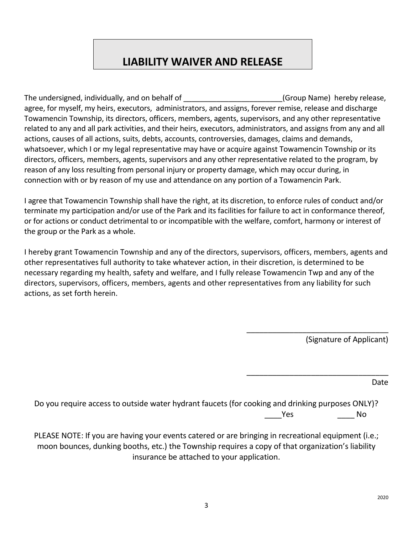# **LIABILITY WAIVER AND RELEASE**

The undersigned, individually, and on behalf of The Computer Computer (Group Name) hereby release, agree, for myself, my heirs, executors, administrators, and assigns, forever remise, release and discharge Towamencin Township, its directors, officers, members, agents, supervisors, and any other representative related to any and all park activities, and their heirs, executors, administrators, and assigns from any and all actions, causes of all actions, suits, debts, accounts, controversies, damages, claims and demands, whatsoever, which I or my legal representative may have or acquire against Towamencin Township or its directors, officers, members, agents, supervisors and any other representative related to the program, by reason of any loss resulting from personal injury or property damage, which may occur during, in connection with or by reason of my use and attendance on any portion of a Towamencin Park.

I agree that Towamencin Township shall have the right, at its discretion, to enforce rules of conduct and/or terminate my participation and/or use of the Park and its facilities for failure to act in conformance thereof, or for actions or conduct detrimental to or incompatible with the welfare, comfort, harmony or interest of the group or the Park as a whole.

I hereby grant Towamencin Township and any of the directors, supervisors, officers, members, agents and other representatives full authority to take whatever action, in their discretion, is determined to be necessary regarding my health, safety and welfare, and I fully release Towamencin Twp and any of the directors, supervisors, officers, members, agents and other representatives from any liability for such actions, as set forth herein.

(Signature of Applicant)

\_\_\_\_\_\_\_\_\_\_\_\_\_\_\_\_\_\_\_\_\_\_\_\_\_\_\_\_\_\_\_\_\_

\_\_\_\_\_\_\_\_\_\_\_\_\_\_\_\_\_\_\_\_\_\_\_\_\_\_\_\_\_\_\_\_\_

Date

Do you require access to outside water hydrant faucets (for cooking and drinking purposes ONLY)? Yes No

PLEASE NOTE: If you are having your events catered or are bringing in recreational equipment (i.e.; moon bounces, dunking booths, etc.) the Township requires a copy of that organization's liability insurance be attached to your application.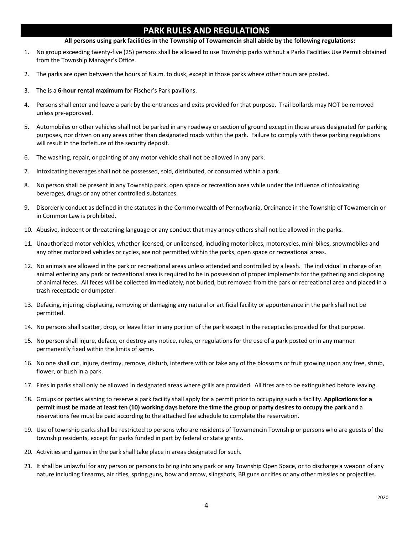# **PARK RULES AND REGULATIONS**

#### **All persons using park facilities in the Township of Towamencin shall abide by the following regulations:**

- 1. No group exceeding twenty-five (25) persons shall be allowed to use Township parks without a Parks Facilities Use Permit obtained from the Township Manager's Office.
- 2. The parks are open between the hours of 8 a.m. to dusk, except in those parks where other hours are posted.
- 3. The is a **6-hour rental maximum** for Fischer's Park pavilions.
- 4. Persons shall enter and leave a park by the entrances and exits provided for that purpose. Trail bollards may NOT be removed unless pre-approved.
- 5. Automobiles or other vehicles shall not be parked in any roadway or section of ground except in those areas designated for parking purposes, nor driven on any areas other than designated roads within the park. Failure to comply with these parking regulations will result in the forfeiture of the security deposit.
- 6. The washing, repair, or painting of any motor vehicle shall not be allowed in any park.
- 7. Intoxicating beverages shall not be possessed, sold, distributed, or consumed within a park.
- 8. No person shall be present in any Township park, open space or recreation area while under the influence of intoxicating beverages, drugs or any other controlled substances.
- 9. Disorderly conduct as defined in the statutes in the Commonwealth of Pennsylvania, Ordinance in the Township of Towamencin or in Common Law is prohibited.
- 10. Abusive, indecent or threatening language or any conduct that may annoy others shall not be allowed in the parks.
- 11. Unauthorized motor vehicles, whether licensed, or unlicensed, including motor bikes, motorcycles, mini-bikes, snowmobiles and any other motorized vehicles or cycles, are not permitted within the parks, open space or recreational areas.
- 12. No animals are allowed in the park or recreational areas unless attended and controlled by a leash. The individual in charge of an animal entering any park or recreational area is required to be in possession of proper implements for the gathering and disposing of animal feces. All feces will be collected immediately, not buried, but removed from the park or recreational area and placed in a trash receptacle or dumpster.
- 13. Defacing, injuring, displacing, removing or damaging any natural or artificial facility or appurtenance in the park shall not be permitted.
- 14. No persons shall scatter, drop, or leave litter in any portion of the park except in the receptacles provided for that purpose.
- 15. No person shall injure, deface, or destroy any notice, rules, or regulations for the use of a park posted or in any manner permanently fixed within the limits of same.
- 16. No one shall cut, injure, destroy, remove, disturb, interfere with or take any of the blossoms or fruit growing upon any tree, shrub, flower, or bush in a park.
- 17. Fires in parks shall only be allowed in designated areas where grills are provided. All fires are to be extinguished before leaving.
- 18. Groups or parties wishing to reserve a park facility shall apply for a permit prior to occupying such a facility. **Applications for a permit must be made at least ten (10) working days before the time the group or party desires to occupy the park** and a reservations fee must be paid according to the attached fee schedule to complete the reservation.
- 19. Use of township parks shall be restricted to persons who are residents of Towamencin Township or persons who are guests of the township residents, except for parks funded in part by federal or state grants.
- 20. Activities and games in the park shall take place in areas designated for such.
- 21. It shall be unlawful for any person or persons to bring into any park or any Township Open Space, or to discharge a weapon of any nature including firearms, air rifles, spring guns, bow and arrow, slingshots, BB guns or rifles or any other missiles or projectiles.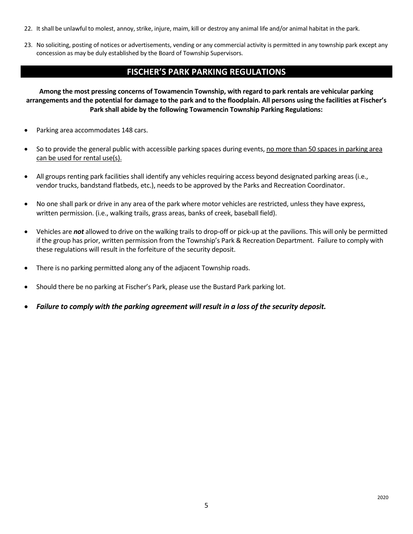- 22. It shall be unlawful to molest, annoy, strike, injure, maim, kill or destroy any animal life and/or animal habitat in the park.
- 23. No soliciting, posting of notices or advertisements, vending or any commercial activity is permitted in any township park except any concession as may be duly established by the Board of Township Supervisors.

# **FISCHER'S PARK PARKING REGULATIONS**

**Among the most pressing concerns of Towamencin Township, with regard to park rentals are vehicular parking arrangements and the potential for damage to the park and to the floodplain. All persons using the facilities at Fischer's Park shall abide by the following Towamencin Township Parking Regulations:**

- Parking area accommodates 148 cars.
- So to provide the general public with accessible parking spaces during events, no more than 50 spaces in parking area can be used for rental use(s).
- All groups renting park facilities shall identify any vehicles requiring access beyond designated parking areas (i.e., vendor trucks, bandstand flatbeds, etc.), needs to be approved by the Parks and Recreation Coordinator.
- No one shall park or drive in any area of the park where motor vehicles are restricted, unless they have express, written permission. (i.e., walking trails, grass areas, banks of creek, baseball field).
- Vehicles are *not* allowed to drive on the walking trails to drop-off or pick-up at the pavilions. This will only be permitted if the group has prior, written permission from the Township's Park & Recreation Department. Failure to comply with these regulations will result in the forfeiture of the security deposit.
- There is no parking permitted along any of the adjacent Township roads.
- Should there be no parking at Fischer's Park, please use the Bustard Park parking lot.
- *Failure to comply with the parking agreement will result in a loss of the security deposit.*